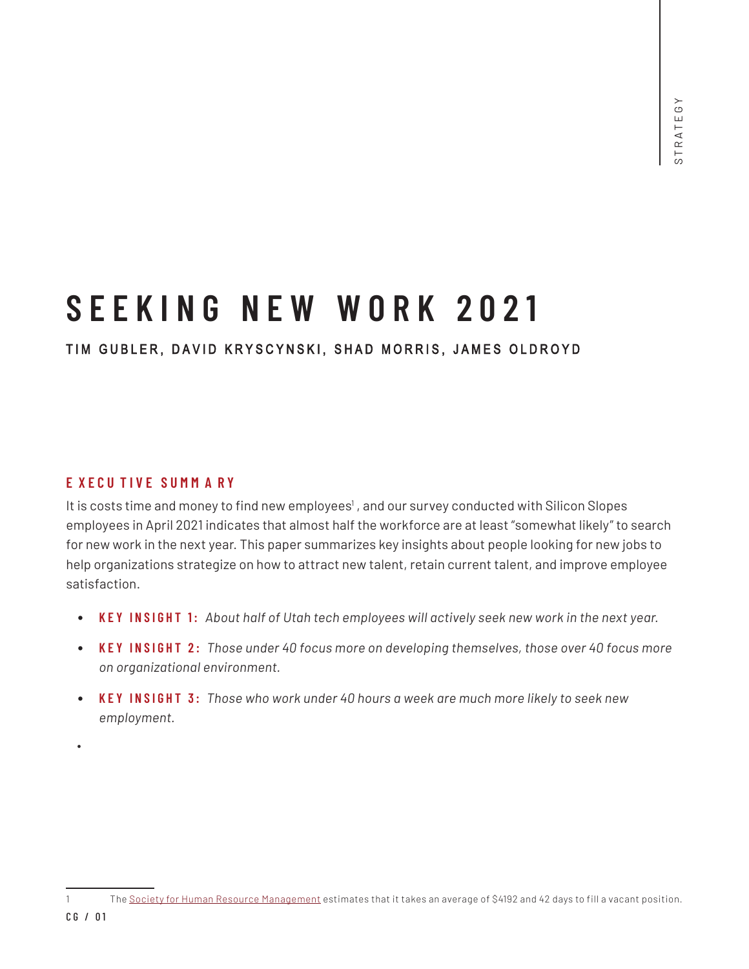# **S E EKIN G NEW WOR K 2 0 2 1**

## TIM GUBLER, DAVID KRYSCYNSKI, SHAD MORRIS, JAMES OLDROYD

#### **E XECU TIVE SU M M A R Y**

It is costs time and money to find new employees<sup>1</sup>, and our survey conducted with Silicon Slopes employees in April 2021 indicates that almost half the workforce are at least "somewhat likely" to search for new work in the next year. This paper summarizes key insights about people looking for new jobs to help organizations strategize on how to attract new talent, retain current talent, and improve employee satisfaction.

- **KEY INSIGHT 1:** *About half of Utah tech employees will actively seek new work in the next year.*
- **KEY INSIGHT 2:** *Those under 40 focus more on developing themselves, those over 40 focus more on organizational environment.*
- **KEY INSIGHT 3:** *Those who work under 40 hours a week are much more likely to seek new employment.*
- •

<sup>1</sup> The Society for Human Resource Management estimates that it takes an average of \$4192 and 42 days to fill a vacant position.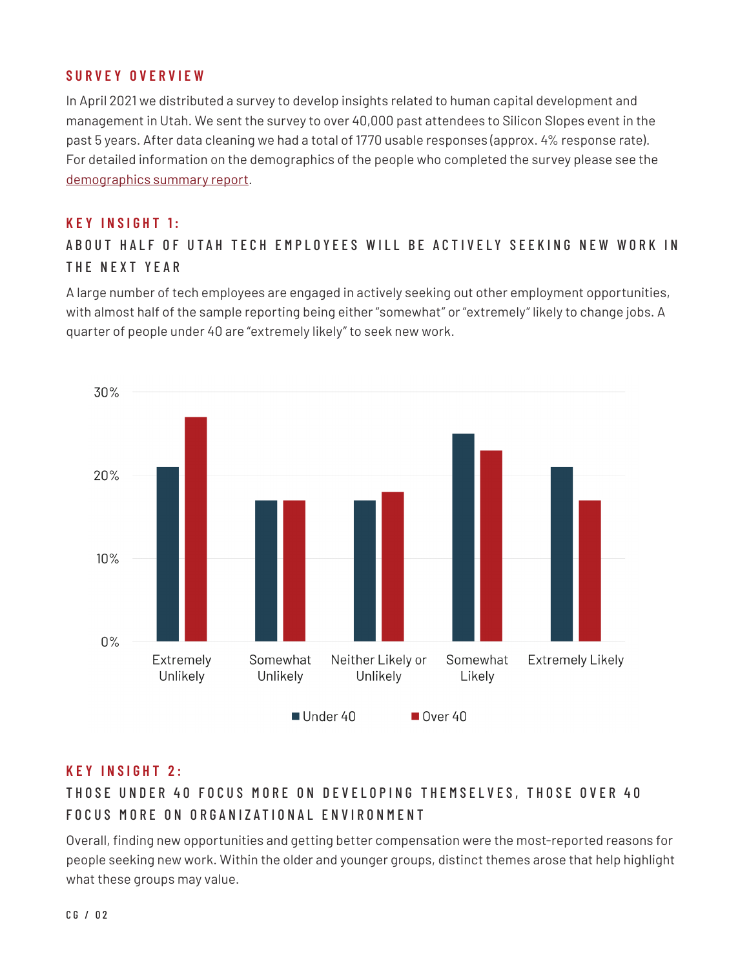## **SURVEY OVERVIEW**

In April 2021 we distributed a survey to develop insights related to human capital development and management in Utah. We sent the survey to over 40,000 past attendees to Silicon Slopes event in the past 5 years. After data cleaning we had a total of 1770 usable responses (approx. 4% response rate). For detailed information on the demographics of the people who completed the survey please see the demographics summary report.

#### **KEY INSIGHT 1:**

A B O U T HALF OF UTAH TECH EMPLOYEES WILL BE ACTIVELY SEEKING NEW WORK IN THE NEXT YEAR

A large number of tech employees are engaged in actively seeking out other employment opportunities, with almost half of the sample reporting being either "somewhat" or "extremely" likely to change jobs. A quarter of people under 40 are "extremely likely" to seek new work.



## **KEY INSIGHT 2:**

## THOSE UNDER 40 FOCUS MORE ON DEVELOPING THEMSELVES, THOSE OVER 40 FOCUS MORE ON ORGANIZATIONAL ENVIRONMENT

Overall, finding new opportunities and getting better compensation were the most-reported reasons for people seeking new work. Within the older and younger groups, distinct themes arose that help highlight what these groups may value.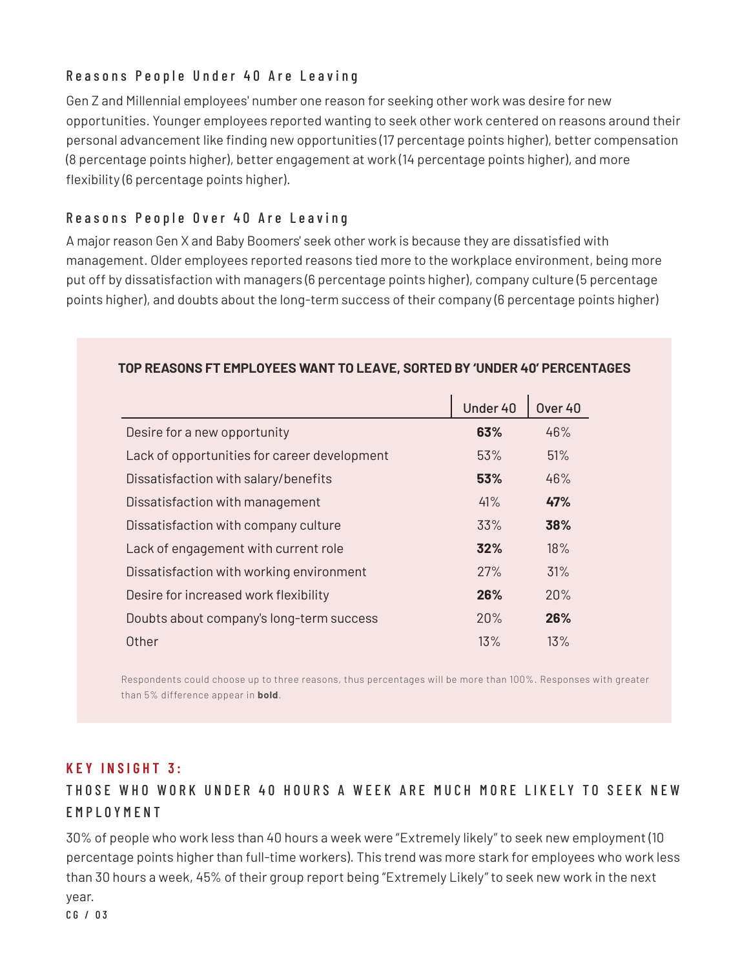## Reasons People Under 40 Are Leaving

Gen Z and Millennial employees' number one reason for seeking other work was desire for new opportunities. Younger employees reported wanting to seek other work centered on reasons around their personal advancement like finding new opportunities (17 percentage points higher), better compensation (8 percentage points higher), better engagement at work (14 percentage points higher), and more flexibility (6 percentage points higher).

## Reasons People Over 40 Are Leaving

A major reason Gen X and Baby Boomers' seek other work is because they are dissatisfied with management. Older employees reported reasons tied more to the workplace environment, being more put off by dissatisfaction with managers (6 percentage points higher), company culture (5 percentage points higher), and doubts about the long-term success of their company (6 percentage points higher)

|                                              | Under 40 | Over 40 |
|----------------------------------------------|----------|---------|
| Desire for a new opportunity                 | 63%      | 46%     |
| Lack of opportunities for career development | 53%      | 51%     |
| Dissatisfaction with salary/benefits         | 53%      | 46%     |
| Dissatisfaction with management              | 41%      | 47%     |
| Dissatisfaction with company culture         | 33%      | 38%     |
| Lack of engagement with current role         | 32%      | 18%     |
| Dissatisfaction with working environment     | 27%      | 31%     |
| Desire for increased work flexibility        | 26%      | 20%     |
| Doubts about company's long-term success     | 20%      | 26%     |
| Other                                        | 13%      | 13%     |

#### **TOP REASONS FT EMPLOYEES WANT TO LEAVE, SORTED BY 'UNDER 40' PERCENTAGES**

Respondents could choose up to three reasons, thus percentages will be more than 100%. Responses with greater than 5% difference appear in **bold**.

## **KEY INSIGHT 3:**

# THOSE WHO WORK UNDER 40 HOURS A WEEK ARE MUCH MORE LIKELY TO SEEK NEW EMPLOYMENT

30% of people who work less than 40 hours a week were "Extremely likely" to seek new employment (10 percentage points higher than full-time workers). This trend was more stark for employees who work less than 30 hours a week, 45% of their group report being "Extremely Likely" to seek new work in the next year.

C G / 03